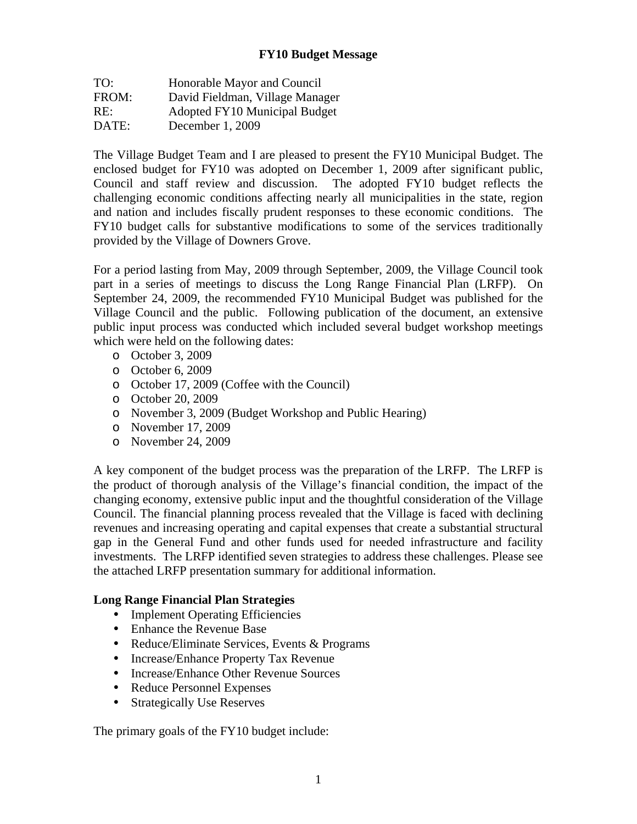# **FY10 Budget Message**

| TO:   | Honorable Mayor and Council     |
|-------|---------------------------------|
| FROM: | David Fieldman, Village Manager |
| RE:   | Adopted FY10 Municipal Budget   |
| DATE: | December 1, 2009                |

The Village Budget Team and I are pleased to present the FY10 Municipal Budget. The enclosed budget for FY10 was adopted on December 1, 2009 after significant public, Council and staff review and discussion. The adopted FY10 budget reflects the challenging economic conditions affecting nearly all municipalities in the state, region and nation and includes fiscally prudent responses to these economic conditions. The FY10 budget calls for substantive modifications to some of the services traditionally provided by the Village of Downers Grove.

For a period lasting from May, 2009 through September, 2009, the Village Council took part in a series of meetings to discuss the Long Range Financial Plan (LRFP). On September 24, 2009, the recommended FY10 Municipal Budget was published for the Village Council and the public. Following publication of the document, an extensive public input process was conducted which included several budget workshop meetings which were held on the following dates:

- o October 3, 2009
- o October 6, 2009
- o October 17, 2009 (Coffee with the Council)
- o October 20, 2009
- o November 3, 2009 (Budget Workshop and Public Hearing)
- o November 17, 2009
- o November 24, 2009

A key component of the budget process was the preparation of the LRFP. The LRFP is the product of thorough analysis of the Village's financial condition, the impact of the changing economy, extensive public input and the thoughtful consideration of the Village Council. The financial planning process revealed that the Village is faced with declining revenues and increasing operating and capital expenses that create a substantial structural gap in the General Fund and other funds used for needed infrastructure and facility investments. The LRFP identified seven strategies to address these challenges. Please see the attached LRFP presentation summary for additional information.

#### **Long Range Financial Plan Strategies**

- Implement Operating Efficiencies
- Enhance the Revenue Base
- Reduce/Eliminate Services, Events & Programs
- Increase/Enhance Property Tax Revenue
- Increase/Enhance Other Revenue Sources
- Reduce Personnel Expenses
- Strategically Use Reserves

The primary goals of the FY10 budget include: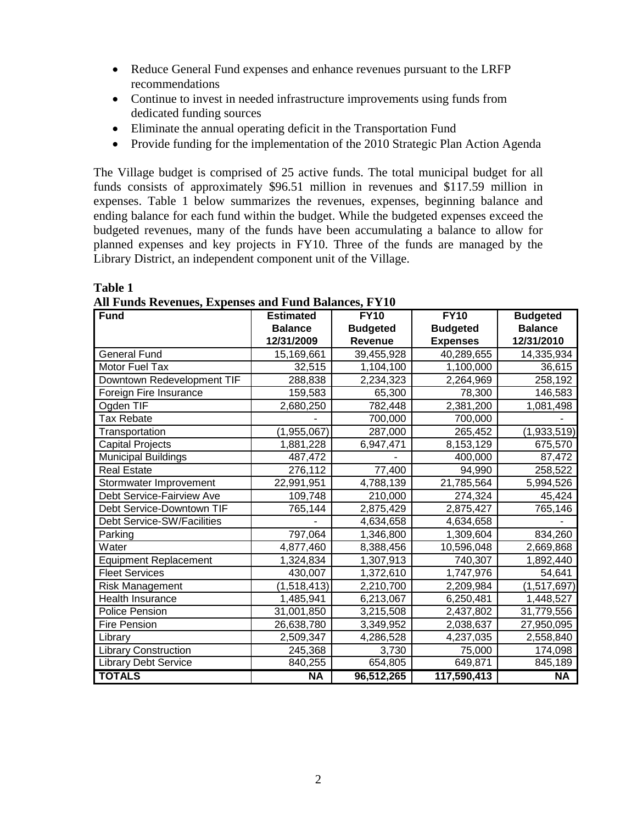- Reduce General Fund expenses and enhance revenues pursuant to the LRFP recommendations
- Continue to invest in needed infrastructure improvements using funds from dedicated funding sources
- Eliminate the annual operating deficit in the Transportation Fund
- Provide funding for the implementation of the 2010 Strategic Plan Action Agenda

The Village budget is comprised of 25 active funds. The total municipal budget for all funds consists of approximately \$96.51 million in revenues and \$117.59 million in expenses. Table 1 below summarizes the revenues, expenses, beginning balance and ending balance for each fund within the budget. While the budgeted expenses exceed the budgeted revenues, many of the funds have been accumulating a balance to allow for planned expenses and key projects in FY10. Three of the funds are managed by the Library District, an independent component unit of the Village.

| <b>Fund</b>                  | <b>Estimated</b> | <b>FY10</b>     | <b>FY10</b>     | <b>Budgeted</b> |
|------------------------------|------------------|-----------------|-----------------|-----------------|
|                              | <b>Balance</b>   | <b>Budgeted</b> | <b>Budgeted</b> | <b>Balance</b>  |
|                              | 12/31/2009       | <b>Revenue</b>  | <b>Expenses</b> | 12/31/2010      |
| <b>General Fund</b>          | 15,169,661       | 39,455,928      | 40,289,655      | 14,335,934      |
| Motor Fuel Tax               | 32,515           | 1,104,100       | 1,100,000       | 36,615          |
| Downtown Redevelopment TIF   | 288,838          | 2,234,323       | 2,264,969       | 258,192         |
| Foreign Fire Insurance       | 159,583          | 65,300          | 78,300          | 146,583         |
| Ogden TIF                    | 2,680,250        | 782,448         | 2,381,200       | 1,081,498       |
| <b>Tax Rebate</b>            |                  | 700,000         | 700,000         |                 |
| Transportation               | (1,955,067)      | 287,000         | 265,452         | (1,933,519)     |
| <b>Capital Projects</b>      | 1,881,228        | 6,947,471       | 8,153,129       | 675,570         |
| Municipal Buildings          | 487,472          |                 | 400,000         | 87,472          |
| <b>Real Estate</b>           | 276,112          | 77,400          | 94,990          | 258,522         |
| Stormwater Improvement       | 22,991,951       | 4,788,139       | 21,785,564      | 5,994,526       |
| Debt Service-Fairview Ave    | 109,748          | 210,000         | 274,324         | 45,424          |
| Debt Service-Downtown TIF    | 765,144          | 2,875,429       | 2,875,427       | 765,146         |
| Debt Service-SW/Facilities   |                  | 4,634,658       | 4,634,658       |                 |
| Parking                      | 797,064          | 1,346,800       | 1,309,604       | 834,260         |
| Water                        | 4,877,460        | 8,388,456       | 10,596,048      | 2,669,868       |
| <b>Equipment Replacement</b> | 1,324,834        | 1,307,913       | 740,307         | 1,892,440       |
| <b>Fleet Services</b>        | 430,007          | 1,372,610       | 1,747,976       | 54,641          |
| <b>Risk Management</b>       | (1,518,413)      | 2,210,700       | 2,209,984       | (1,517,697)     |
| Health Insurance             | 1,485,941        | 6,213,067       | 6,250,481       | 1,448,527       |
| Police Pension               | 31,001,850       | 3,215,508       | 2,437,802       | 31,779,556      |
| <b>Fire Pension</b>          | 26,638,780       | 3,349,952       | 2,038,637       | 27,950,095      |
| Library                      | 2,509,347        | 4,286,528       | 4,237,035       | 2,558,840       |
| <b>Library Construction</b>  | 245,368          | 3,730           | 75,000          | 174,098         |
| <b>Library Debt Service</b>  | 840,255          | 654,805         | 649,871         | 845,189         |
| <b>TOTALS</b>                | <b>NA</b>        | 96,512,265      | 117,590,413     | <b>NA</b>       |

**All Funds Revenues, Expenses and Fund Balances, FY10** 

**Table 1**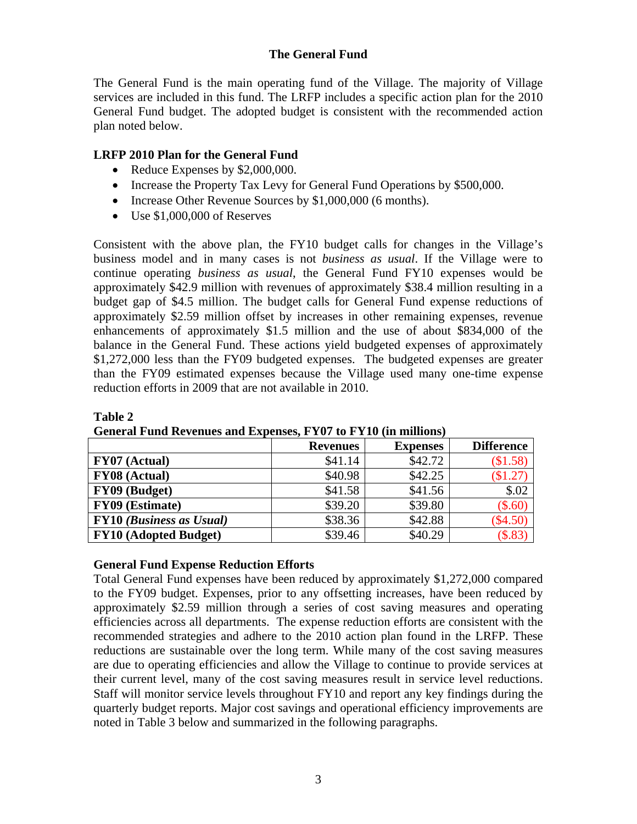## **The General Fund**

The General Fund is the main operating fund of the Village. The majority of Village services are included in this fund. The LRFP includes a specific action plan for the 2010 General Fund budget. The adopted budget is consistent with the recommended action plan noted below.

#### **LRFP 2010 Plan for the General Fund**

- Reduce Expenses by \$2,000,000.
- Increase the Property Tax Levy for General Fund Operations by \$500,000.
- Increase Other Revenue Sources by \$1,000,000 (6 months).
- Use \$1,000,000 of Reserves

**Table 2** 

Consistent with the above plan, the FY10 budget calls for changes in the Village's business model and in many cases is not *business as usual*. If the Village were to continue operating *business as usual*, the General Fund FY10 expenses would be approximately \$42.9 million with revenues of approximately \$38.4 million resulting in a budget gap of \$4.5 million. The budget calls for General Fund expense reductions of approximately \$2.59 million offset by increases in other remaining expenses, revenue enhancements of approximately \$1.5 million and the use of about \$834,000 of the balance in the General Fund. These actions yield budgeted expenses of approximately \$1,272,000 less than the FY09 budgeted expenses. The budgeted expenses are greater than the FY09 estimated expenses because the Village used many one-time expense reduction efforts in 2009 that are not available in 2010.

| Ocheral I and incremate and Expenses I TVI to I TIV (in miniping |                 |                 |                   |  |
|------------------------------------------------------------------|-----------------|-----------------|-------------------|--|
|                                                                  | <b>Revenues</b> | <b>Expenses</b> | <b>Difference</b> |  |
| <b>FY07</b> (Actual)                                             | \$41.14         | \$42.72         | (\$1.58)          |  |
| <b>FY08</b> (Actual)                                             | \$40.98         | \$42.25         | $(\$1.27)$        |  |
| FY09 (Budget)                                                    | \$41.58         | \$41.56         | \$.02             |  |
| FY09 (Estimate)                                                  | \$39.20         | \$39.80         | $(\$.60)$         |  |
| <b>FY10</b> ( <i>Business as Usual</i> )                         | \$38.36         | \$42.88         | $(\$4.50)$        |  |
| <b>FY10 (Adopted Budget)</b>                                     | \$39.46         | \$40.29         | (S.83)            |  |

**General Fund Revenues and Expenses, FY07 to FY10 (in millions)** 

#### **General Fund Expense Reduction Efforts**

Total General Fund expenses have been reduced by approximately \$1,272,000 compared to the FY09 budget. Expenses, prior to any offsetting increases, have been reduced by approximately \$2.59 million through a series of cost saving measures and operating efficiencies across all departments. The expense reduction efforts are consistent with the recommended strategies and adhere to the 2010 action plan found in the LRFP. These reductions are sustainable over the long term. While many of the cost saving measures are due to operating efficiencies and allow the Village to continue to provide services at their current level, many of the cost saving measures result in service level reductions. Staff will monitor service levels throughout FY10 and report any key findings during the quarterly budget reports. Major cost savings and operational efficiency improvements are noted in Table 3 below and summarized in the following paragraphs.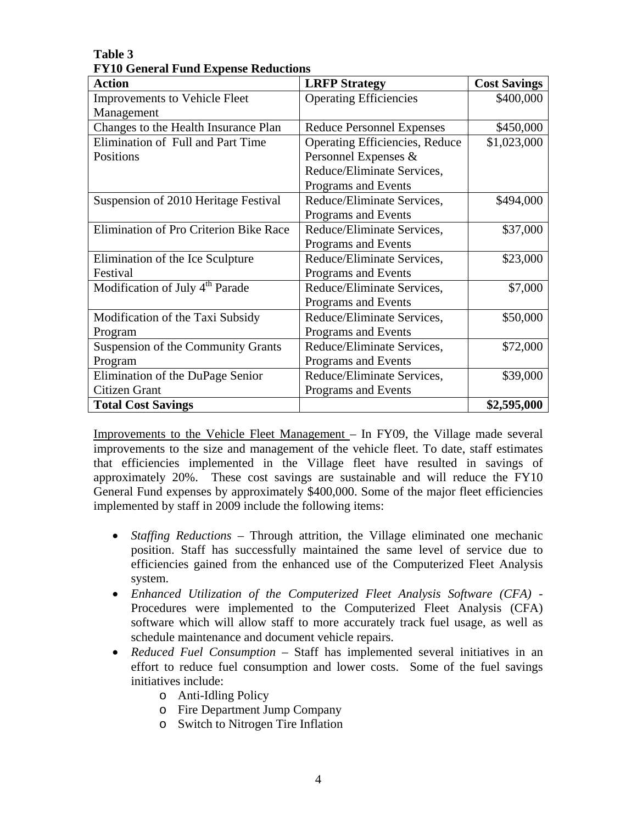| <b>Action</b>                               | <b>LRFP</b> Strategy                  | <b>Cost Savings</b> |
|---------------------------------------------|---------------------------------------|---------------------|
| <b>Improvements to Vehicle Fleet</b>        | <b>Operating Efficiencies</b>         | \$400,000           |
| Management                                  |                                       |                     |
| Changes to the Health Insurance Plan        | <b>Reduce Personnel Expenses</b>      | \$450,000           |
| Elimination of Full and Part Time           | <b>Operating Efficiencies, Reduce</b> | \$1,023,000         |
| Positions                                   | Personnel Expenses &                  |                     |
|                                             | Reduce/Eliminate Services,            |                     |
|                                             | Programs and Events                   |                     |
| Suspension of 2010 Heritage Festival        | Reduce/Eliminate Services,            | \$494,000           |
|                                             | Programs and Events                   |                     |
| Elimination of Pro Criterion Bike Race      | Reduce/Eliminate Services,            | \$37,000            |
|                                             | Programs and Events                   |                     |
| Elimination of the Ice Sculpture            | Reduce/Eliminate Services,            | \$23,000            |
| Festival                                    | Programs and Events                   |                     |
| Modification of July 4 <sup>th</sup> Parade | Reduce/Eliminate Services,            | \$7,000             |
|                                             | Programs and Events                   |                     |
| Modification of the Taxi Subsidy            | Reduce/Eliminate Services,            | \$50,000            |
| Program                                     | Programs and Events                   |                     |
| Suspension of the Community Grants          | Reduce/Eliminate Services,            | \$72,000            |
| Program                                     | Programs and Events                   |                     |
| Elimination of the DuPage Senior            | Reduce/Eliminate Services,            | \$39,000            |
| Citizen Grant                               | Programs and Events                   |                     |
| <b>Total Cost Savings</b>                   |                                       | \$2,595,000         |

**Table 3 FY10 General Fund Expense Reductions** 

Improvements to the Vehicle Fleet Management – In FY09, the Village made several improvements to the size and management of the vehicle fleet. To date, staff estimates that efficiencies implemented in the Village fleet have resulted in savings of approximately 20%. These cost savings are sustainable and will reduce the FY10 General Fund expenses by approximately \$400,000. Some of the major fleet efficiencies implemented by staff in 2009 include the following items:

- *Staffing Reductions –* Through attrition, the Village eliminated one mechanic position. Staff has successfully maintained the same level of service due to efficiencies gained from the enhanced use of the Computerized Fleet Analysis system.
- *Enhanced Utilization of the Computerized Fleet Analysis Software (CFA)*  Procedures were implemented to the Computerized Fleet Analysis (CFA) software which will allow staff to more accurately track fuel usage, as well as schedule maintenance and document vehicle repairs.
- *Reduced Fuel Consumption* Staff has implemented several initiatives in an effort to reduce fuel consumption and lower costs. Some of the fuel savings initiatives include:
	- o Anti-Idling Policy
	- o Fire Department Jump Company
	- o Switch to Nitrogen Tire Inflation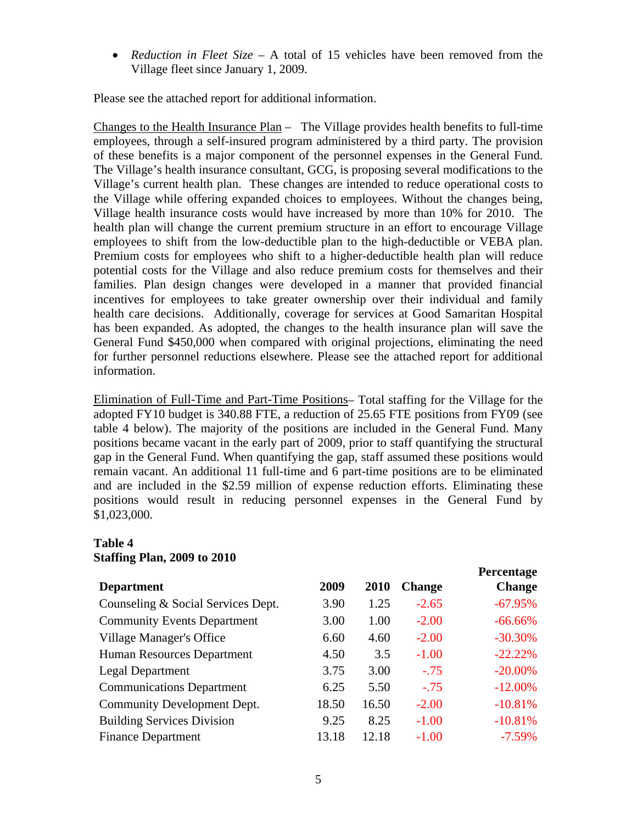*Reduction in Fleet Size –* A total of 15 vehicles have been removed from the Village fleet since January 1, 2009.

Please see the attached report for additional information.

Changes to the Health Insurance Plan – The Village provides health benefits to full-time employees, through a self-insured program administered by a third party. The provision of these benefits is a major component of the personnel expenses in the General Fund. The Village's health insurance consultant, GCG, is proposing several modifications to the Village's current health plan. These changes are intended to reduce operational costs to the Village while offering expanded choices to employees. Without the changes being, Village health insurance costs would have increased by more than 10% for 2010. The health plan will change the current premium structure in an effort to encourage Village employees to shift from the low-deductible plan to the high-deductible or VEBA plan. Premium costs for employees who shift to a higher-deductible health plan will reduce potential costs for the Village and also reduce premium costs for themselves and their families. Plan design changes were developed in a manner that provided financial incentives for employees to take greater ownership over their individual and family health care decisions. Additionally, coverage for services at Good Samaritan Hospital has been expanded. As adopted, the changes to the health insurance plan will save the General Fund \$450,000 when compared with original projections, eliminating the need for further personnel reductions elsewhere. Please see the attached report for additional information.

Elimination of Full-Time and Part-Time Positions– Total staffing for the Village for the adopted FY10 budget is 340.88 FTE, a reduction of 25.65 FTE positions from FY09 (see table 4 below). The majority of the positions are included in the General Fund. Many positions became vacant in the early part of 2009, prior to staff quantifying the structural gap in the General Fund. When quantifying the gap, staff assumed these positions would remain vacant. An additional 11 full-time and 6 part-time positions are to be eliminated and are included in the \$2.59 million of expense reduction efforts. Eliminating these positions would result in reducing personnel expenses in the General Fund by \$1,023,000.

## **Table 4 Staffing Plan, 2009 to 2010**

| <b>Department</b>                  | 2009  | 2010  | <b>Change</b> | <b>Percentage</b><br><b>Change</b> |
|------------------------------------|-------|-------|---------------|------------------------------------|
| Counseling & Social Services Dept. | 3.90  | 1.25  | $-2.65$       | $-67.95%$                          |
| <b>Community Events Department</b> | 3.00  | 1.00  | $-2.00$       | $-66.66\%$                         |
| Village Manager's Office           | 6.60  | 4.60  | $-2.00$       | $-30.30\%$                         |
| Human Resources Department         | 4.50  | 3.5   | $-1.00$       | $-22.22%$                          |
| <b>Legal Department</b>            | 3.75  | 3.00  | $-.75$        | $-20.00\%$                         |
| <b>Communications Department</b>   | 6.25  | 5.50  | $-.75$        | $-12.00\%$                         |
| Community Development Dept.        | 18.50 | 16.50 | $-2.00$       | $-10.81%$                          |
| <b>Building Services Division</b>  | 9.25  | 8.25  | $-1.00$       | $-10.81%$                          |
| <b>Finance Department</b>          | 13.18 | 12.18 | $-1.00$       | $-7.59\%$                          |

**Percentage**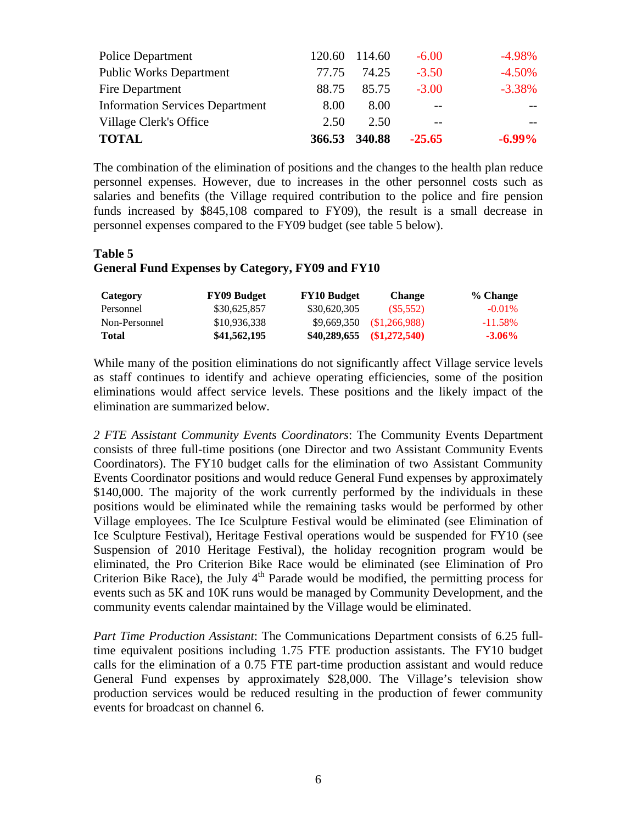| <b>Police Department</b>               | 120.60 | 114.60 | $-6.00$  | $-4.98\%$ |
|----------------------------------------|--------|--------|----------|-----------|
| <b>Public Works Department</b>         | 77.75  | 74.25  | $-3.50$  | $-4.50%$  |
| Fire Department                        | 88.75  | 85.75  | $-3.00$  | $-3.38\%$ |
| <b>Information Services Department</b> | 8.00   | 8.00   | $- -$    |           |
| Village Clerk's Office                 | 2.50   | 2.50   | $- -$    |           |
| <b>TOTAL</b>                           | 366.53 | 340.88 | $-25.65$ | $-6.99\%$ |

The combination of the elimination of positions and the changes to the health plan reduce personnel expenses. However, due to increases in the other personnel costs such as salaries and benefits (the Village required contribution to the police and fire pension funds increased by \$845,108 compared to FY09), the result is a small decrease in personnel expenses compared to the FY09 budget (see table 5 below).

# **Table 5 General Fund Expenses by Category, FY09 and FY10**

| Category      | <b>FY09 Budget</b> | <b>FY10 Budget</b> | <b>Change</b>              | % Change   |
|---------------|--------------------|--------------------|----------------------------|------------|
| Personnel     | \$30,625,857       | \$30,620,305       | (S5.552)                   | $-0.01\%$  |
| Non-Personnel | \$10,936,338       | \$9,669,350        | \$1,266,988                | $-11.58\%$ |
| Total         | \$41,562,195       |                    | $$40,289,655$ $$1,272,540$ | $-3.06\%$  |

While many of the position eliminations do not significantly affect Village service levels as staff continues to identify and achieve operating efficiencies, some of the position eliminations would affect service levels. These positions and the likely impact of the elimination are summarized below.

*2 FTE Assistant Community Events Coordinators*: The Community Events Department consists of three full-time positions (one Director and two Assistant Community Events Coordinators). The FY10 budget calls for the elimination of two Assistant Community Events Coordinator positions and would reduce General Fund expenses by approximately \$140,000. The majority of the work currently performed by the individuals in these positions would be eliminated while the remaining tasks would be performed by other Village employees. The Ice Sculpture Festival would be eliminated (see Elimination of Ice Sculpture Festival), Heritage Festival operations would be suspended for FY10 (see Suspension of 2010 Heritage Festival), the holiday recognition program would be eliminated, the Pro Criterion Bike Race would be eliminated (see Elimination of Pro Criterion Bike Race), the July  $4<sup>th</sup>$  Parade would be modified, the permitting process for events such as 5K and 10K runs would be managed by Community Development, and the community events calendar maintained by the Village would be eliminated.

*Part Time Production Assistant*: The Communications Department consists of 6.25 fulltime equivalent positions including 1.75 FTE production assistants. The FY10 budget calls for the elimination of a 0.75 FTE part-time production assistant and would reduce General Fund expenses by approximately \$28,000. The Village's television show production services would be reduced resulting in the production of fewer community events for broadcast on channel 6.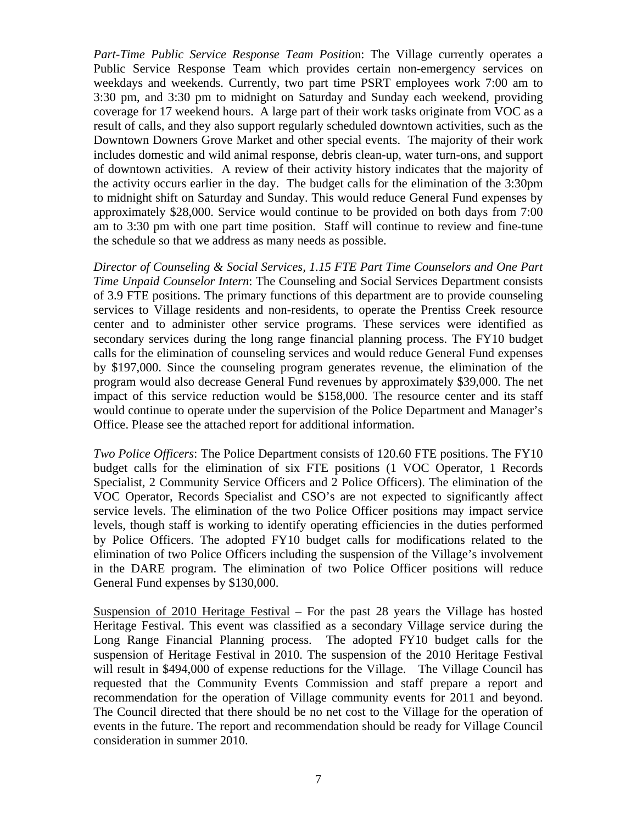*Part-Time Public Service Response Team Positio*n: The Village currently operates a Public Service Response Team which provides certain non-emergency services on weekdays and weekends. Currently, two part time PSRT employees work 7:00 am to 3:30 pm, and 3:30 pm to midnight on Saturday and Sunday each weekend, providing coverage for 17 weekend hours. A large part of their work tasks originate from VOC as a result of calls, and they also support regularly scheduled downtown activities, such as the Downtown Downers Grove Market and other special events. The majority of their work includes domestic and wild animal response, debris clean-up, water turn-ons, and support of downtown activities. A review of their activity history indicates that the majority of the activity occurs earlier in the day. The budget calls for the elimination of the 3:30pm to midnight shift on Saturday and Sunday. This would reduce General Fund expenses by approximately \$28,000. Service would continue to be provided on both days from 7:00 am to 3:30 pm with one part time position. Staff will continue to review and fine-tune the schedule so that we address as many needs as possible.

*Director of Counseling & Social Services, 1.15 FTE Part Time Counselors and One Part Time Unpaid Counselor Intern*: The Counseling and Social Services Department consists of 3.9 FTE positions. The primary functions of this department are to provide counseling services to Village residents and non-residents, to operate the Prentiss Creek resource center and to administer other service programs. These services were identified as secondary services during the long range financial planning process. The FY10 budget calls for the elimination of counseling services and would reduce General Fund expenses by \$197,000. Since the counseling program generates revenue, the elimination of the program would also decrease General Fund revenues by approximately \$39,000. The net impact of this service reduction would be \$158,000. The resource center and its staff would continue to operate under the supervision of the Police Department and Manager's Office. Please see the attached report for additional information.

*Two Police Officers*: The Police Department consists of 120.60 FTE positions. The FY10 budget calls for the elimination of six FTE positions (1 VOC Operator, 1 Records Specialist, 2 Community Service Officers and 2 Police Officers). The elimination of the VOC Operator, Records Specialist and CSO's are not expected to significantly affect service levels. The elimination of the two Police Officer positions may impact service levels, though staff is working to identify operating efficiencies in the duties performed by Police Officers. The adopted FY10 budget calls for modifications related to the elimination of two Police Officers including the suspension of the Village's involvement in the DARE program. The elimination of two Police Officer positions will reduce General Fund expenses by \$130,000.

Suspension of 2010 Heritage Festival – For the past 28 years the Village has hosted Heritage Festival. This event was classified as a secondary Village service during the Long Range Financial Planning process. The adopted FY10 budget calls for the suspension of Heritage Festival in 2010. The suspension of the 2010 Heritage Festival will result in \$494,000 of expense reductions for the Village. The Village Council has requested that the Community Events Commission and staff prepare a report and recommendation for the operation of Village community events for 2011 and beyond. The Council directed that there should be no net cost to the Village for the operation of events in the future. The report and recommendation should be ready for Village Council consideration in summer 2010.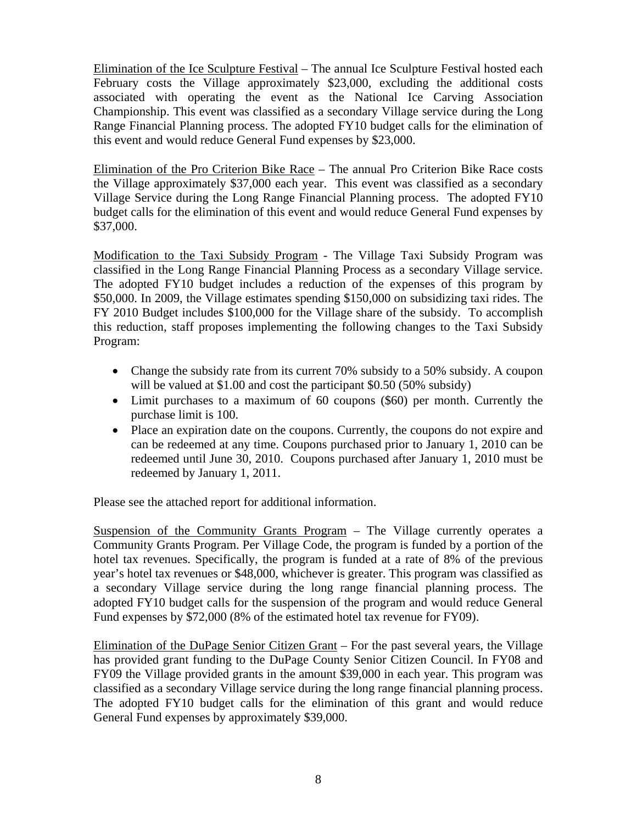Elimination of the Ice Sculpture Festival – The annual Ice Sculpture Festival hosted each February costs the Village approximately \$23,000, excluding the additional costs associated with operating the event as the National Ice Carving Association Championship. This event was classified as a secondary Village service during the Long Range Financial Planning process. The adopted FY10 budget calls for the elimination of this event and would reduce General Fund expenses by \$23,000.

Elimination of the Pro Criterion Bike Race – The annual Pro Criterion Bike Race costs the Village approximately \$37,000 each year. This event was classified as a secondary Village Service during the Long Range Financial Planning process. The adopted FY10 budget calls for the elimination of this event and would reduce General Fund expenses by \$37,000.

Modification to the Taxi Subsidy Program - The Village Taxi Subsidy Program was classified in the Long Range Financial Planning Process as a secondary Village service. The adopted FY10 budget includes a reduction of the expenses of this program by \$50,000. In 2009, the Village estimates spending \$150,000 on subsidizing taxi rides. The FY 2010 Budget includes \$100,000 for the Village share of the subsidy. To accomplish this reduction, staff proposes implementing the following changes to the Taxi Subsidy Program:

- Change the subsidy rate from its current 70% subsidy to a 50% subsidy. A coupon will be valued at \$1.00 and cost the participant \$0.50 (50% subsidy)
- Limit purchases to a maximum of 60 coupons (\$60) per month. Currently the purchase limit is 100.
- Place an expiration date on the coupons. Currently, the coupons do not expire and can be redeemed at any time. Coupons purchased prior to January 1, 2010 can be redeemed until June 30, 2010. Coupons purchased after January 1, 2010 must be redeemed by January 1, 2011.

Please see the attached report for additional information.

Suspension of the Community Grants Program – The Village currently operates a Community Grants Program. Per Village Code, the program is funded by a portion of the hotel tax revenues. Specifically, the program is funded at a rate of 8% of the previous year's hotel tax revenues or \$48,000, whichever is greater. This program was classified as a secondary Village service during the long range financial planning process. The adopted FY10 budget calls for the suspension of the program and would reduce General Fund expenses by \$72,000 (8% of the estimated hotel tax revenue for FY09).

Elimination of the DuPage Senior Citizen Grant – For the past several years, the Village has provided grant funding to the DuPage County Senior Citizen Council. In FY08 and FY09 the Village provided grants in the amount \$39,000 in each year. This program was classified as a secondary Village service during the long range financial planning process. The adopted FY10 budget calls for the elimination of this grant and would reduce General Fund expenses by approximately \$39,000.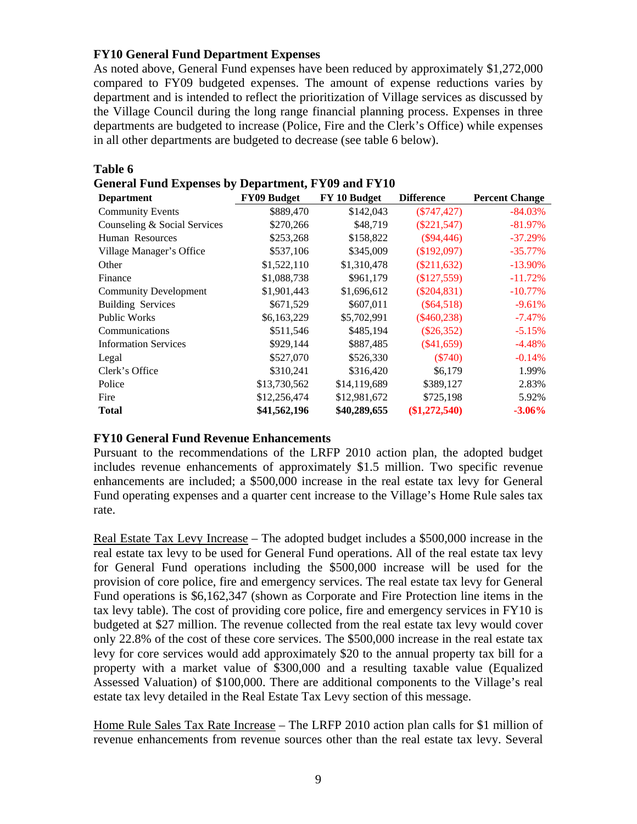## **FY10 General Fund Department Expenses**

**Table 6** 

As noted above, General Fund expenses have been reduced by approximately \$1,272,000 compared to FY09 budgeted expenses. The amount of expense reductions varies by department and is intended to reflect the prioritization of Village services as discussed by the Village Council during the long range financial planning process. Expenses in three departments are budgeted to increase (Police, Fire and the Clerk's Office) while expenses in all other departments are budgeted to decrease (see table 6 below).

| <b>Department</b>            | FY09 Budget  | FY 10 Budget | <b>Difference</b> | <b>Percent Change</b> |
|------------------------------|--------------|--------------|-------------------|-----------------------|
| <b>Community Events</b>      | \$889,470    | \$142,043    | (S747, 427)       | -84.03%               |
| Counseling & Social Services | \$270,266    | \$48,719     | $(\$221,547)$     | $-81.97\%$            |
| Human Resources              | \$253,268    | \$158,822    | (S94, 446)        | $-37.29%$             |
| Village Manager's Office     | \$537,106    | \$345,009    | (\$192,097)       | $-35.77\%$            |
| Other                        | \$1,522,110  | \$1,310,478  | $(\$211,632)$     | $-13.90\%$            |
| Finance                      | \$1,088,738  | \$961,179    | \$127,559         | $-11.72%$             |
| <b>Community Development</b> | \$1,901,443  | \$1,696,612  | $(\$204,831)$     | $-10.77\%$            |
| <b>Building Services</b>     | \$671,529    | \$607,011    | $(\$64,518)$      | $-9.61\%$             |
| <b>Public Works</b>          | \$6,163,229  | \$5,702,991  | $(\$460,238)$     | $-7.47\%$             |
| Communications               | \$511,546    | \$485,194    | $(\$26,352)$      | $-5.15%$              |
| <b>Information Services</b>  | \$929,144    | \$887,485    | $(\$41,659)$      | $-4.48%$              |
| Legal                        | \$527,070    | \$526,330    | $(\$740)$         | $-0.14%$              |
| Clerk's Office               | \$310,241    | \$316,420    | \$6,179           | 1.99%                 |
| Police                       | \$13,730,562 | \$14,119,689 | \$389,127         | 2.83%                 |
| Fire                         | \$12,256,474 | \$12,981,672 | \$725,198         | 5.92%                 |
| <b>Total</b>                 | \$41,562,196 | \$40,289,655 | $(\$1,272,540)$   | $-3.06\%$             |

# **General Fund Expenses by Department, FY09 and FY10**

#### **FY10 General Fund Revenue Enhancements**

Pursuant to the recommendations of the LRFP 2010 action plan, the adopted budget includes revenue enhancements of approximately \$1.5 million. Two specific revenue enhancements are included; a \$500,000 increase in the real estate tax levy for General Fund operating expenses and a quarter cent increase to the Village's Home Rule sales tax rate.

Real Estate Tax Levy Increase – The adopted budget includes a \$500,000 increase in the real estate tax levy to be used for General Fund operations. All of the real estate tax levy for General Fund operations including the \$500,000 increase will be used for the provision of core police, fire and emergency services. The real estate tax levy for General Fund operations is \$6,162,347 (shown as Corporate and Fire Protection line items in the tax levy table). The cost of providing core police, fire and emergency services in FY10 is budgeted at \$27 million. The revenue collected from the real estate tax levy would cover only 22.8% of the cost of these core services. The \$500,000 increase in the real estate tax levy for core services would add approximately \$20 to the annual property tax bill for a property with a market value of \$300,000 and a resulting taxable value (Equalized Assessed Valuation) of \$100,000. There are additional components to the Village's real estate tax levy detailed in the Real Estate Tax Levy section of this message.

Home Rule Sales Tax Rate Increase – The LRFP 2010 action plan calls for \$1 million of revenue enhancements from revenue sources other than the real estate tax levy. Several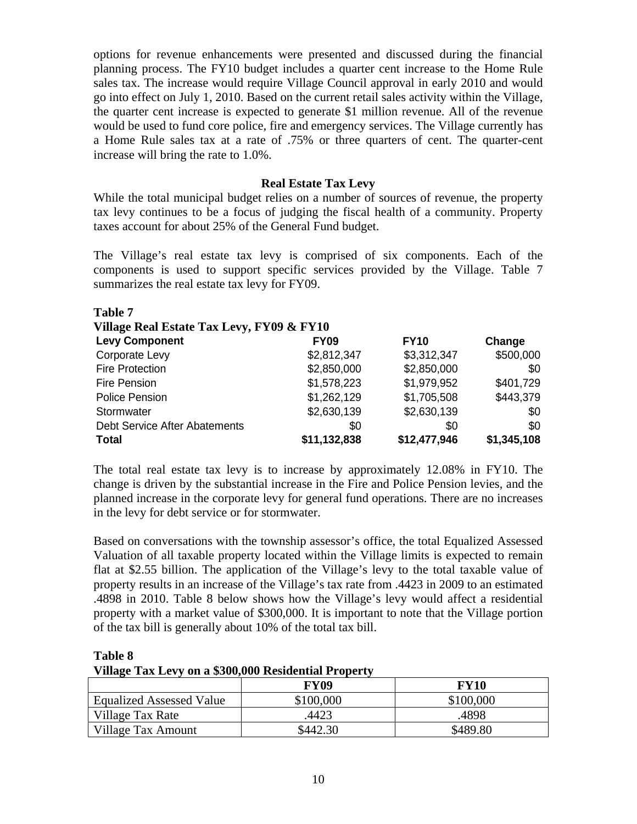options for revenue enhancements were presented and discussed during the financial planning process. The FY10 budget includes a quarter cent increase to the Home Rule sales tax. The increase would require Village Council approval in early 2010 and would go into effect on July 1, 2010. Based on the current retail sales activity within the Village, the quarter cent increase is expected to generate \$1 million revenue. All of the revenue would be used to fund core police, fire and emergency services. The Village currently has a Home Rule sales tax at a rate of .75% or three quarters of cent. The quarter-cent increase will bring the rate to 1.0%.

#### **Real Estate Tax Levy**

While the total municipal budget relies on a number of sources of revenue, the property tax levy continues to be a focus of judging the fiscal health of a community. Property taxes account for about 25% of the General Fund budget.

The Village's real estate tax levy is comprised of six components. Each of the components is used to support specific services provided by the Village. Table 7 summarizes the real estate tax levy for FY09.

| <b>Table 7</b>                            |              |              |             |
|-------------------------------------------|--------------|--------------|-------------|
| Village Real Estate Tax Levy, FY09 & FY10 |              |              |             |
| <b>Levy Component</b>                     | <b>FY09</b>  | <b>FY10</b>  | Change      |
| Corporate Levy                            | \$2,812,347  | \$3,312,347  | \$500,000   |
| <b>Fire Protection</b>                    | \$2,850,000  | \$2,850,000  | \$0         |
| Fire Pension                              | \$1,578,223  | \$1,979,952  | \$401,729   |
| <b>Police Pension</b>                     | \$1,262,129  | \$1,705,508  | \$443,379   |
| Stormwater                                | \$2,630,139  | \$2,630,139  | \$0         |
| Debt Service After Abatements             | \$0          | \$0          | \$0         |
| <b>Total</b>                              | \$11,132,838 | \$12,477,946 | \$1,345,108 |

The total real estate tax levy is to increase by approximately 12.08% in FY10. The change is driven by the substantial increase in the Fire and Police Pension levies, and the planned increase in the corporate levy for general fund operations. There are no increases in the levy for debt service or for stormwater.

Based on conversations with the township assessor's office, the total Equalized Assessed Valuation of all taxable property located within the Village limits is expected to remain flat at \$2.55 billion. The application of the Village's levy to the total taxable value of property results in an increase of the Village's tax rate from .4423 in 2009 to an estimated .4898 in 2010. Table 8 below shows how the Village's levy would affect a residential property with a market value of \$300,000. It is important to note that the Village portion of the tax bill is generally about 10% of the total tax bill.

**Table 8 Village Tax Levy on a \$300,000 Residential Property** 

|                                 | <b>FY09</b> | <b>FY10</b> |
|---------------------------------|-------------|-------------|
| <b>Equalized Assessed Value</b> | \$100,000   | \$100,000   |
| Village Tax Rate                | 4423        | 4898        |
| Village Tax Amount              | \$442.30    | \$489.80    |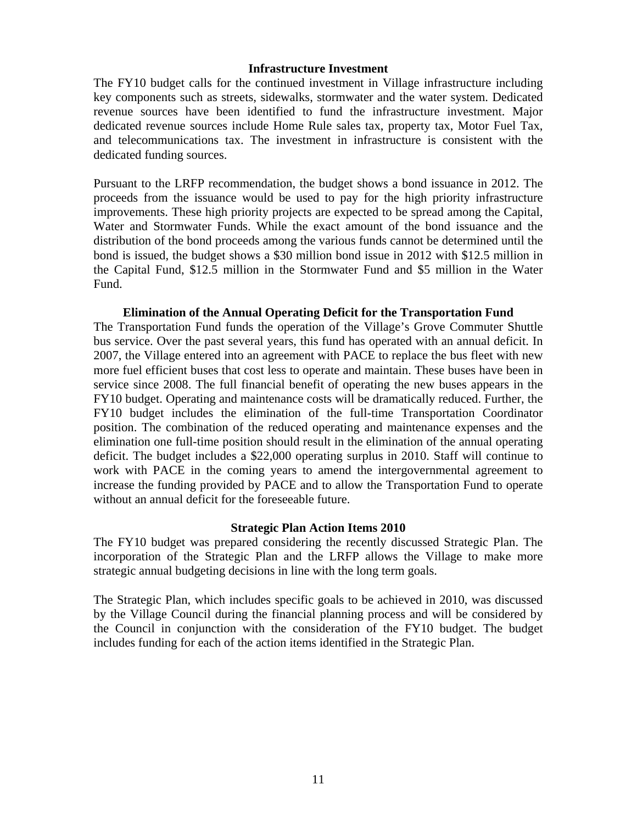#### **Infrastructure Investment**

The FY10 budget calls for the continued investment in Village infrastructure including key components such as streets, sidewalks, stormwater and the water system. Dedicated revenue sources have been identified to fund the infrastructure investment. Major dedicated revenue sources include Home Rule sales tax, property tax, Motor Fuel Tax, and telecommunications tax. The investment in infrastructure is consistent with the dedicated funding sources.

Pursuant to the LRFP recommendation, the budget shows a bond issuance in 2012. The proceeds from the issuance would be used to pay for the high priority infrastructure improvements. These high priority projects are expected to be spread among the Capital, Water and Stormwater Funds. While the exact amount of the bond issuance and the distribution of the bond proceeds among the various funds cannot be determined until the bond is issued, the budget shows a \$30 million bond issue in 2012 with \$12.5 million in the Capital Fund, \$12.5 million in the Stormwater Fund and \$5 million in the Water Fund.

#### **Elimination of the Annual Operating Deficit for the Transportation Fund**

The Transportation Fund funds the operation of the Village's Grove Commuter Shuttle bus service. Over the past several years, this fund has operated with an annual deficit. In 2007, the Village entered into an agreement with PACE to replace the bus fleet with new more fuel efficient buses that cost less to operate and maintain. These buses have been in service since 2008. The full financial benefit of operating the new buses appears in the FY10 budget. Operating and maintenance costs will be dramatically reduced. Further, the FY10 budget includes the elimination of the full-time Transportation Coordinator position. The combination of the reduced operating and maintenance expenses and the elimination one full-time position should result in the elimination of the annual operating deficit. The budget includes a \$22,000 operating surplus in 2010. Staff will continue to work with PACE in the coming years to amend the intergovernmental agreement to increase the funding provided by PACE and to allow the Transportation Fund to operate without an annual deficit for the foreseeable future.

#### **Strategic Plan Action Items 2010**

The FY10 budget was prepared considering the recently discussed Strategic Plan. The incorporation of the Strategic Plan and the LRFP allows the Village to make more strategic annual budgeting decisions in line with the long term goals.

The Strategic Plan, which includes specific goals to be achieved in 2010, was discussed by the Village Council during the financial planning process and will be considered by the Council in conjunction with the consideration of the FY10 budget. The budget includes funding for each of the action items identified in the Strategic Plan.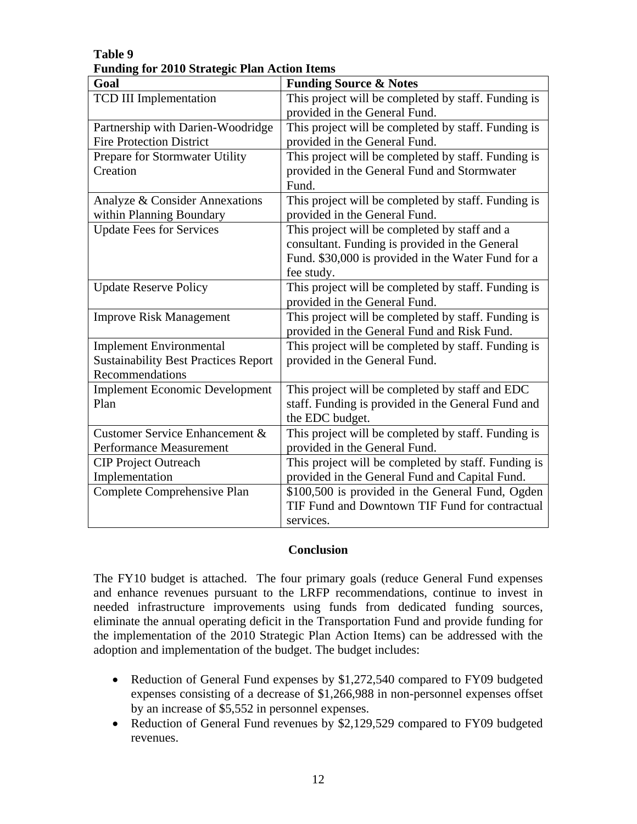| Goal                                        | <b>Funding Source &amp; Notes</b>                   |
|---------------------------------------------|-----------------------------------------------------|
| <b>TCD III Implementation</b>               | This project will be completed by staff. Funding is |
|                                             | provided in the General Fund.                       |
| Partnership with Darien-Woodridge           | This project will be completed by staff. Funding is |
| <b>Fire Protection District</b>             | provided in the General Fund.                       |
| Prepare for Stormwater Utility              | This project will be completed by staff. Funding is |
| Creation                                    | provided in the General Fund and Stormwater         |
|                                             | Fund.                                               |
| Analyze & Consider Annexations              | This project will be completed by staff. Funding is |
| within Planning Boundary                    | provided in the General Fund.                       |
| <b>Update Fees for Services</b>             | This project will be completed by staff and a       |
|                                             | consultant. Funding is provided in the General      |
|                                             | Fund. \$30,000 is provided in the Water Fund for a  |
|                                             | fee study.                                          |
| <b>Update Reserve Policy</b>                | This project will be completed by staff. Funding is |
|                                             | provided in the General Fund.                       |
| <b>Improve Risk Management</b>              | This project will be completed by staff. Funding is |
|                                             | provided in the General Fund and Risk Fund.         |
| <b>Implement Environmental</b>              | This project will be completed by staff. Funding is |
| <b>Sustainability Best Practices Report</b> | provided in the General Fund.                       |
| Recommendations                             |                                                     |
| <b>Implement Economic Development</b>       | This project will be completed by staff and EDC     |
| Plan                                        | staff. Funding is provided in the General Fund and  |
|                                             | the EDC budget.                                     |
| Customer Service Enhancement &              | This project will be completed by staff. Funding is |
| <b>Performance Measurement</b>              | provided in the General Fund.                       |
| <b>CIP Project Outreach</b>                 | This project will be completed by staff. Funding is |
| Implementation                              | provided in the General Fund and Capital Fund.      |
| Complete Comprehensive Plan                 | \$100,500 is provided in the General Fund, Ogden    |
|                                             | TIF Fund and Downtown TIF Fund for contractual      |
|                                             | services.                                           |

# **Table 9 Funding for 2010 Strategic Plan Action Items**

#### **Conclusion**

The FY10 budget is attached. The four primary goals (reduce General Fund expenses and enhance revenues pursuant to the LRFP recommendations, continue to invest in needed infrastructure improvements using funds from dedicated funding sources, eliminate the annual operating deficit in the Transportation Fund and provide funding for the implementation of the 2010 Strategic Plan Action Items) can be addressed with the adoption and implementation of the budget. The budget includes:

- Reduction of General Fund expenses by \$1,272,540 compared to FY09 budgeted expenses consisting of a decrease of \$1,266,988 in non-personnel expenses offset by an increase of \$5,552 in personnel expenses.
- Reduction of General Fund revenues by \$2,129,529 compared to FY09 budgeted revenues.